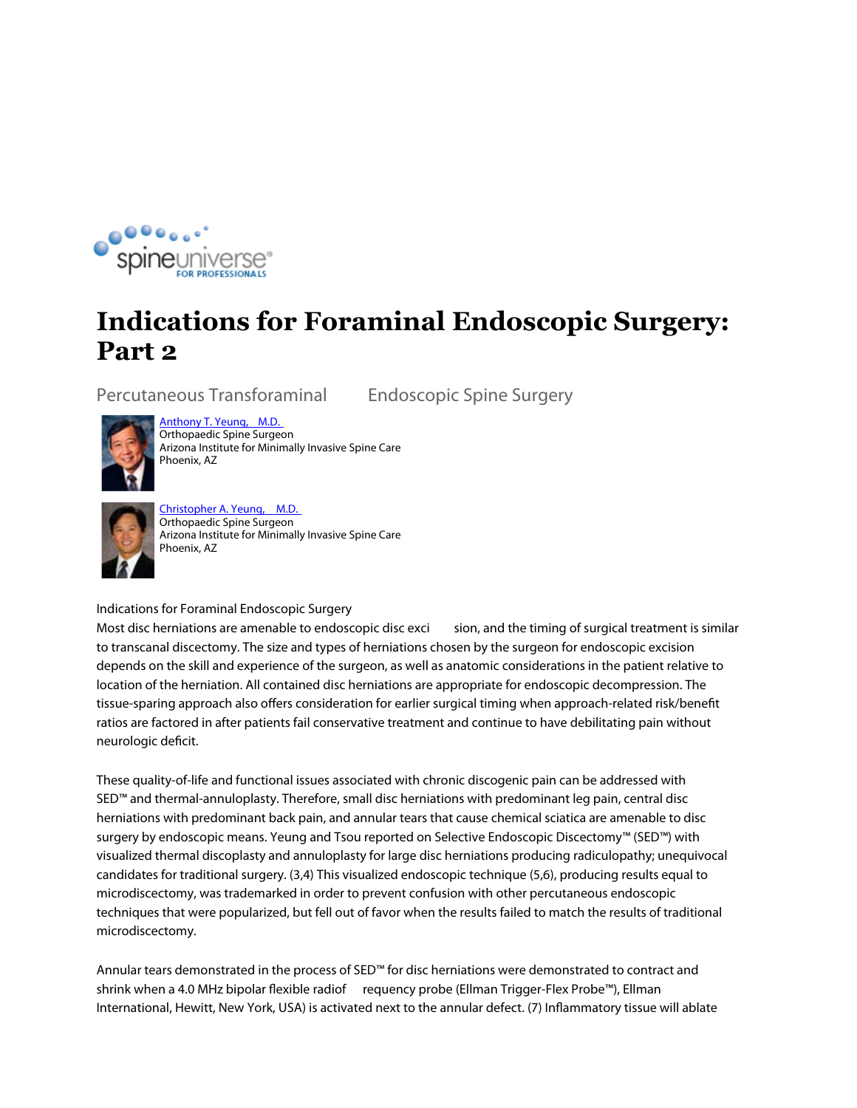

## **Indications for Foraminal Endoscopic Surgery: Part 2**

**Percutaneous Transforaminal Endoscopic Spine Surgery**

Anthony T. Yeung, M.D.



Orthopaedic Spine Surgeon Arizona Institute for Minimally Invasive Spine Care Phoenix, AZ



Christopher A. Yeung, M.D. Orthopaedic Spine Surgeon Arizona Institute for Minimally Invasive Spine Care Phoenix, AZ

**Indications for Foraminal Endoscopic Surgery**

Most disc herniations are amenable to endoscopic disc exci sion, and the timing of surgical treatment is similar to transcanal discectomy. The size and types of herniations chosen by the surgeon for endoscopic excision depends on the skill and experience of the surgeon, as well as anatomic considerations in the patient relative to location of the herniation. All contained disc herniations are appropriate for endoscopic decompression. The tissue-sparing approach also offers consideration for earlier surgical timing when approach-related risk/benefit ratios are factored in after patients fail conservative treatment and continue to have debilitating pain without neurologic deficit.

These quality-of-life and functional issues associated with chronic discogenic pain can be addressed with SED™ and thermal-annuloplasty. Therefore, small disc herniations with predominant leg pain, central disc herniations with predominant back pain, and annular tears that cause chemical sciatica are amenable to disc surgery by endoscopic means. Yeung and Tsou reported on Selective Endoscopic Discectomy™ (SED™) with visualized thermal discoplasty and annuloplasty for large disc herniations producing radiculopathy; unequivocal candidates for traditional surgery. (3,4) This visualized endoscopic technique (5,6), producing results equal to microdiscectomy, was trademarked in order to prevent confusion with other percutaneous endoscopic techniques that were popularized, but fell out of favor when the results failed to match the results of traditional microdiscectomy.

Annular tears demonstrated in the process of SED™ for disc herniations were demonstrated to contract and shrink when a 4.0 MHz bipolar flexible radiof requency probe (Ellman Trigger-Flex Probe™), Ellman International, Hewitt, New York, USA) is activated next to the annular defect. (7) Inflammatory tissue will ablate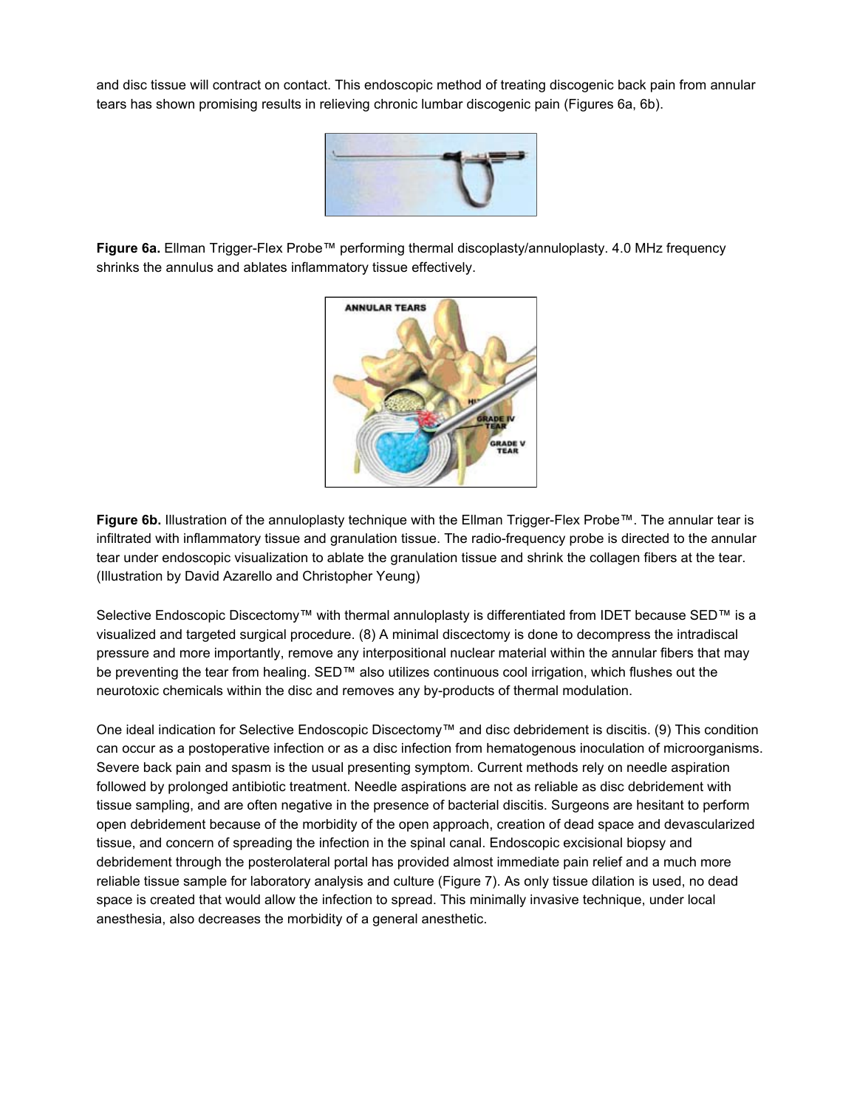and disc tissue will contract on contact. This endoscopic method of treating discogenic back pain from annular tears has shown promising results in relieving chronic lumbar discogenic pain (Figures 6a, 6b).



**Figure 6a.** Ellman Trigger-Flex Probe™ performing thermal discoplasty/annuloplasty. 4.0 MHz frequency shrinks the annulus and ablates inflammatory tissue effectively.



**Figure 6b.** Illustration of the annuloplasty technique with the Ellman Trigger-Flex Probe™. The annular tear is infiltrated with inflammatory tissue and granulation tissue. The radio-frequency probe is directed to the annular tear under endoscopic visualization to ablate the granulation tissue and shrink the collagen fibers at the tear. (Illustration by David Azarello and Christopher Yeung)

Selective Endoscopic Discectomy™ with thermal annuloplasty is differentiated from IDET because SED™ is a visualized and targeted surgical procedure. (8) A minimal discectomy is done to decompress the intradiscal pressure and more importantly, remove any interpositional nuclear material within the annular fibers that may be preventing the tear from healing. SED™ also utilizes continuous cool irrigation, which flushes out the neurotoxic chemicals within the disc and removes any by-products of thermal modulation.

One ideal indication for Selective Endoscopic Discectomy™ and disc debridement is discitis. (9) This condition can occur as a postoperative infection or as a disc infection from hematogenous inoculation of microorganisms. Severe back pain and spasm is the usual presenting symptom. Current methods rely on needle aspiration followed by prolonged antibiotic treatment. Needle aspirations are not as reliable as disc debridement with tissue sampling, and are often negative in the presence of bacterial discitis. Surgeons are hesitant to perform open debridement because of the morbidity of the open approach, creation of dead space and devascularized tissue, and concern of spreading the infection in the spinal canal. Endoscopic excisional biopsy and debridement through the posterolateral portal has provided almost immediate pain relief and a much more reliable tissue sample for laboratory analysis and culture (Figure 7). As only tissue dilation is used, no dead space is created that would allow the infection to spread. This minimally invasive technique, under local anesthesia, also decreases the morbidity of a general anesthetic.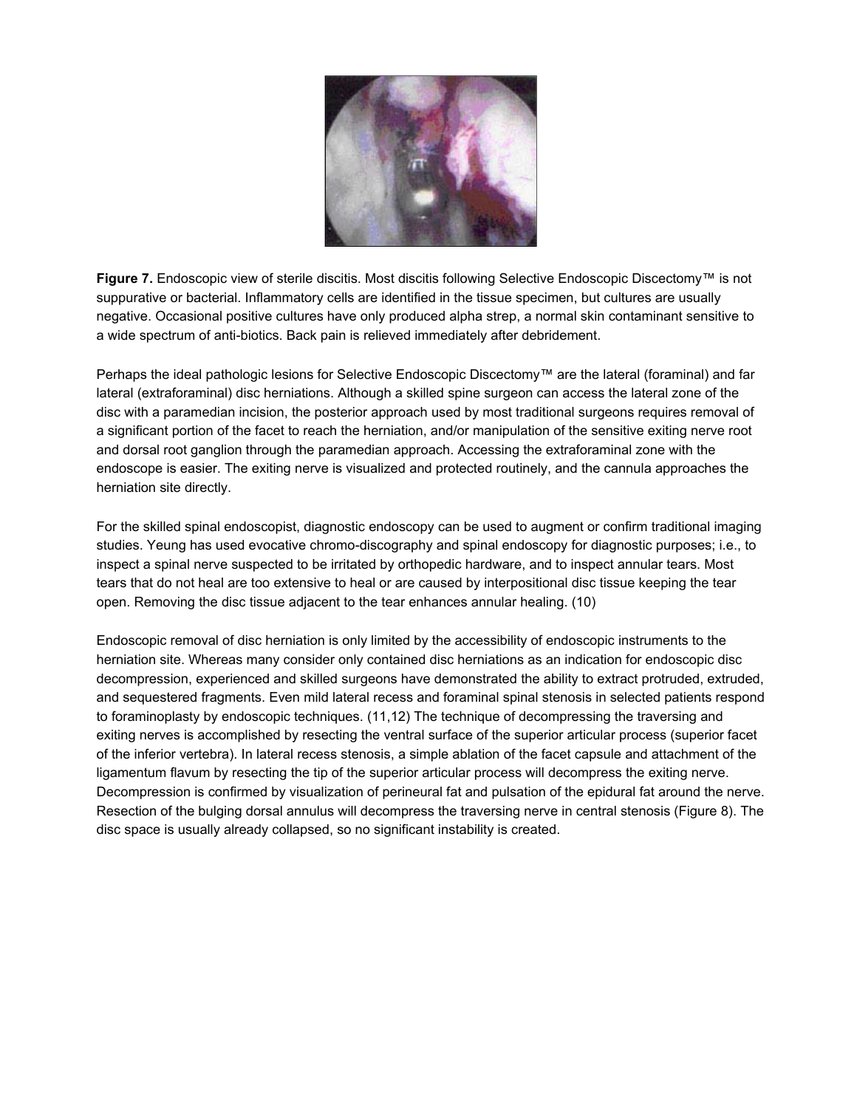

**Figure 7.** Endoscopic view of sterile discitis. Most discitis following Selective Endoscopic Discectomy™ is not suppurative or bacterial. Inflammatory cells are identified in the tissue specimen, but cultures are usually negative. Occasional positive cultures have only produced alpha strep, a normal skin contaminant sensitive to a wide spectrum of anti-biotics. Back pain is relieved immediately after debridement.

Perhaps the ideal pathologic lesions for Selective Endoscopic Discectomy™ are the lateral (foraminal) and far lateral (extraforaminal) disc herniations. Although a skilled spine surgeon can access the lateral zone of the disc with a paramedian incision, the posterior approach used by most traditional surgeons requires removal of a significant portion of the facet to reach the herniation, and/or manipulation of the sensitive exiting nerve root and dorsal root ganglion through the paramedian approach. Accessing the extraforaminal zone with the endoscope is easier. The exiting nerve is visualized and protected routinely, and the cannula approaches the herniation site directly.

For the skilled spinal endoscopist, diagnostic endoscopy can be used to augment or confirm traditional imaging studies. Yeung has used evocative chromo-discography and spinal endoscopy for diagnostic purposes; i.e., to inspect a spinal nerve suspected to be irritated by orthopedic hardware, and to inspect annular tears. Most tears that do not heal are too extensive to heal or are caused by interpositional disc tissue keeping the tear open. Removing the disc tissue adjacent to the tear enhances annular healing. (10)

Endoscopic removal of disc herniation is only limited by the accessibility of endoscopic instruments to the herniation site. Whereas many consider only contained disc herniations as an indication for endoscopic disc decompression, experienced and skilled surgeons have demonstrated the ability to extract protruded, extruded, and sequestered fragments. Even mild lateral recess and foraminal spinal stenosis in selected patients respond to foraminoplasty by endoscopic techniques. (11,12) The technique of decompressing the traversing and exiting nerves is accomplished by resecting the ventral surface of the superior articular process (superior facet of the inferior vertebra). In lateral recess stenosis, a simple ablation of the facet capsule and attachment of the ligamentum flavum by resecting the tip of the superior articular process will decompress the exiting nerve. Decompression is confirmed by visualization of perineural fat and pulsation of the epidural fat around the nerve. Resection of the bulging dorsal annulus will decompress the traversing nerve in central stenosis (Figure 8). The disc space is usually already collapsed, so no significant instability is created.